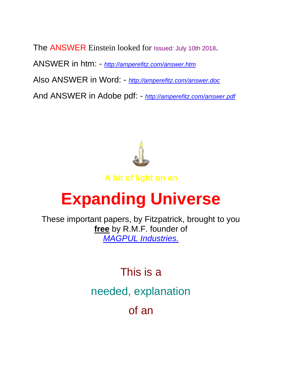The ANSWER Einstein looked for Issued: July 10th 2018. ANSWER in htm: - *<http://amperefitz.com/answer.htm>* Also ANSWER in Word: - *<http://amperefitz.com/answer.doc>* And ANSWER in Adobe pdf: - *<http://amperefitz.com/answer.pdf>*



**A bit of light on an**

# **Expanding Universe**

These important papers, by Fitzpatrick, brought to you **free** by R.M.F. founder of *[MAGPUL Industries.](http://youtube.com/watch?v=ctPyeNZqFho)*

> This is a needed, explanation of an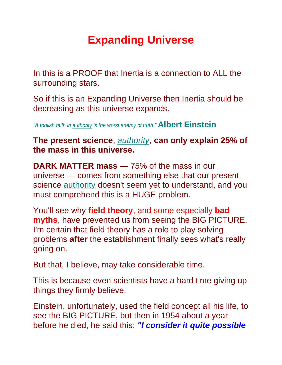# **Expanding Universe**

In this is a PROOF that Inertia is a connection to ALL the surrounding stars.

So if this is an Expanding Universe then Inertia should be decreasing as this universe expands.

*"A foolish faith in authority is the worst enemy of truth."* **Albert Einstein**

#### **The present science**, *authority*, **can only explain 25% of the mass in this universe.**

**DARK MATTER mass** — 75% of the mass in our universe — comes from something else that our present science **authority** doesn't seem yet to understand, and you must comprehend this is a HUGE problem.

You'll see why **field theory**, and some especially **bad myths**, have prevented us from seeing the BIG PICTURE. I'm certain that field theory has a role to play solving problems **after** the establishment finally sees what's really going on.

But that, I believe, may take considerable time.

This is because even scientists have a hard time giving up things they firmly believe.

Einstein, unfortunately, used the field concept all his life, to see the BIG PICTURE, but then in 1954 about a year before he died, he said this: *"I consider it quite possible*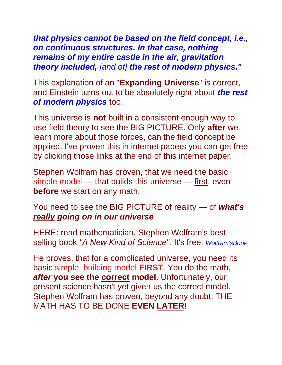*that physics cannot be based on the field concept, i.e., on continuous structures. In that case, nothing remains of my entire castle in the air, gravitation theory included, [and of] the rest of modern physics."*

This explanation of an "**Expanding Universe**" is correct, and Einstein turns out to be absolutely right about *the rest of modern physics* too.

This universe is **not** built in a consistent enough way to use field theory to see the BIG PICTURE. Only **after** we learn more about those forces, can the field concept be applied. I've proven this in internet papers you can get free by clicking those links at the end of this internet paper.

Stephen Wolfram has proven, that we need the basic simple model — that builds this universe — first, even **before** we start on any math.

You need to see the BIG PICTURE of reality — of *what's really going on in our universe*.

HERE: read mathematician, Stephen Wolfram's best selling book *"A New Kind of Science".* It's free: *[Wolfram'sBook](http://www.wolframscience.com/)*

He proves, that for a complicated universe, you need its basic simple, building model **FIRST**. You do the math, *after* **you see the correct model.** Unfortunately, our present science hasn't yet given us the correct model. Stephen Wolfram has proven, beyond any doubt, THE MATH HAS TO BE DONE **EVEN LATER**!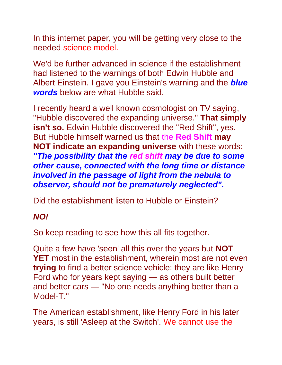In this internet paper, you will be getting very close to the needed science model.

We'd be further advanced in science if the establishment had listened to the warnings of both Edwin Hubble and Albert Einstein. I gave you Einstein's warning and the *blue words* below are what Hubble said.

I recently heard a well known cosmologist on TV saying, "Hubble discovered the expanding universe." **That simply isn't so.** Edwin Hubble discovered the "Red Shift", yes. But Hubble himself warned us that the **Red Shift may NOT indicate an expanding universe** with these words: *"The possibility that the red shift may be due to some other cause, connected with the long time or distance involved in the passage of light from the nebula to observer, should not be prematurely neglected".*

Did the establishment listen to Hubble or Einstein?

## *NO!*

So keep reading to see how this all fits together.

Quite a few have 'seen' all this over the years but **NOT YET** most in the establishment, wherein most are not even **trying** to find a better science vehicle: they are like Henry Ford who for years kept saying — as others built better and better cars — "No one needs anything better than a Model-T."

The American establishment, like Henry Ford in his later years, is still 'Asleep at the Switch'. We cannot use the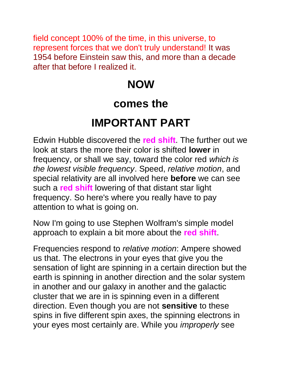field concept 100% of the time, in this universe, to represent forces that we don't truly understand! It was 1954 before Einstein saw this, and more than a decade after that before I realized it.

# **NOW**

## **comes the**

# **IMPORTANT PART**

Edwin Hubble discovered the **red shift**. The further out we look at stars the more their color is shifted **lower** in frequency, or shall we say, toward the color red *which is the lowest visible frequency*. Speed, *relative motion*, and special relativity are all involved here **before** we can see such a **red shift** lowering of that distant star light frequency. So here's where you really have to pay attention to what is going on.

Now I'm going to use Stephen Wolfram's simple model approach to explain a bit more about the **red shift**.

Frequencies respond to *relative motion*: Ampere showed us that. The electrons in your eyes that give you the sensation of light are spinning in a certain direction but the earth is spinning in another direction and the solar system in another and our galaxy in another and the galactic cluster that we are in is spinning even in a different direction. Even though you are not **sensitive** to these spins in five different spin axes, the spinning electrons in your eyes most certainly are. While you *improperly* see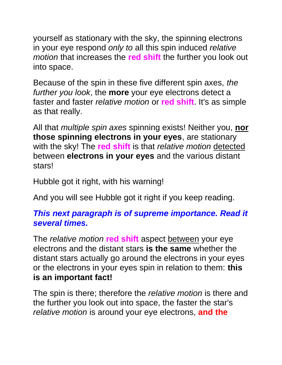yourself as stationary with the sky, the spinning electrons in your eye respond *only to* all this spin induced *relative motion* that increases the **red shift** the further you look out into space.

Because of the spin in these five different spin axes, *the further you look*, the **more** your eye electrons detect a faster and faster *relative motion* or **red shift**. It's as simple as that really.

All that *multiple spin axes* spinning exists! Neither you, **nor those spinning electrons in your eyes**, are stationary with the sky! The **red shift** is that *relative motion* detected between **electrons in your eyes** and the various distant stars!

Hubble got it right, with his warning!

And you will see Hubble got it right if you keep reading.

## *This next paragraph is of supreme importance. Read it several times.*

The *relative motion* **red shift** aspect between your eye electrons and the distant stars **is the same** whether the distant stars actually go around the electrons in your eyes or the electrons in your eyes spin in relation to them: **this is an important fact!**

The spin is there; therefore the *relative motion* is there and the further you look out into space, the faster the star's *relative motion* is around your eye electrons, **and the**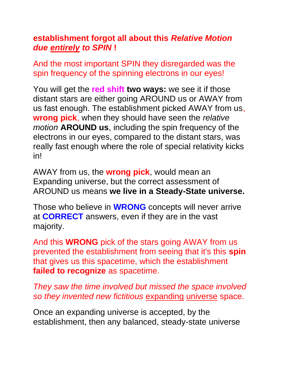#### **establishment forgot all about this** *Relative Motion due entirely to SPIN* **!**

And the most important SPIN they disregarded was the spin frequency of the spinning electrons in our eyes!

You will get the **red shift two ways:** we see it if those distant stars are either going AROUND us or AWAY from us fast enough. The establishment picked AWAY from us, **wrong pick**, when they should have seen the *relative motion* **AROUND us**, including the spin frequency of the electrons in our eyes, compared to the distant stars, was really fast enough where the role of special relativity kicks in!

AWAY from us, the **wrong pick**, would mean an Expanding universe, but the correct assessment of AROUND us means **we live in a Steady-State universe.**

Those who believe in **WRONG** concepts will never arrive at **CORRECT** answers, even if they are in the vast majority.

And this **WRONG** pick of the stars going AWAY from us prevented the establishment from seeing that it's this **spin** that gives us this spacetime, which the establishment **failed to recognize** as spacetime.

*They saw the time involved but missed the space involved so they invented new fictitious* expanding universe space.

Once an expanding universe is accepted, by the establishment, then any balanced, steady-state universe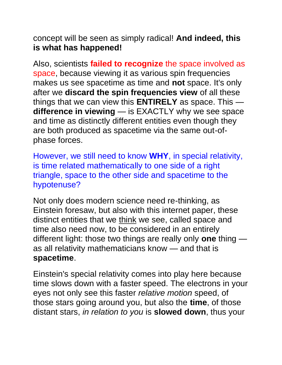concept will be seen as simply radical! **And indeed, this is what has happened!**

Also, scientists **failed to recognize** the space involved as space, because viewing it as various spin frequencies makes us see spacetime as time and **not** space. It's only after we **discard the spin frequencies view** of all these things that we can view this **ENTIRELY** as space. This **difference in viewing** — is EXACTLY why we see space and time as distinctly different entities even though they are both produced as spacetime via the same out-ofphase forces.

However, we still need to know **WHY**, in special relativity, is time related mathematically to one side of a right triangle, space to the other side and spacetime to the hypotenuse?

Not only does modern science need re-thinking, as Einstein foresaw, but also with this internet paper, these distinct entities that we think we see, called space and time also need now, to be considered in an entirely different light: those two things are really only **one** thing as all relativity mathematicians know — and that is **spacetime**.

Einstein's special relativity comes into play here because time slows down with a faster speed. The electrons in your eyes not only see this faster *relative motion* speed, of those stars going around you, but also the **time**, of those distant stars, *in relation to you* is **slowed down**, thus your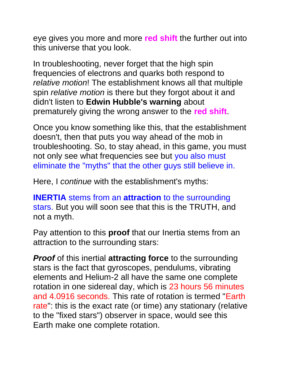eye gives you more and more **red shift** the further out into this universe that you look.

In troubleshooting, never forget that the high spin frequencies of electrons and quarks both respond to *relative motion*! The establishment knows all that multiple spin *relative motion* is there but they forgot about it and didn't listen to **Edwin Hubble's warning** about prematurely giving the wrong answer to the **red shift**.

Once you know something like this, that the establishment doesn't, then that puts you way ahead of the mob in troubleshooting. So, to stay ahead, in this game, you must not only see what frequencies see but you also must eliminate the "myths" that the other guys still believe in.

Here, I *continue* with the establishment's myths:

**INERTIA** stems from an **attraction** to the surrounding stars. But you will soon see that this is the TRUTH, and not a myth.

Pay attention to this **proof** that our Inertia stems from an attraction to the surrounding stars:

*Proof* of this inertial **attracting force** to the surrounding stars is the fact that gyroscopes, pendulums, vibrating elements and Helium-2 all have the same one complete rotation in one sidereal day, which is 23 hours 56 minutes and 4.0916 seconds. This rate of rotation is termed "Earth rate": this is the exact rate (or time) any stationary (relative to the "fixed stars") observer in space, would see this Earth make one complete rotation.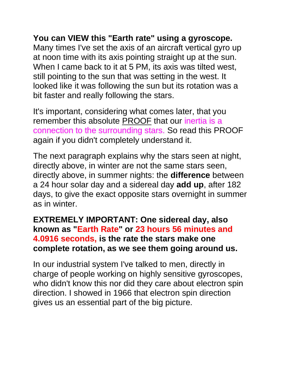## **You can VIEW this "Earth rate" using a gyroscope.**

Many times I've set the axis of an aircraft vertical gyro up at noon time with its axis pointing straight up at the sun. When I came back to it at 5 PM, its axis was tilted west, still pointing to the sun that was setting in the west. It looked like it was following the sun but its rotation was a bit faster and really following the stars.

It's important, considering what comes later, that you remember this absolute PROOF that our inertia is a connection to the surrounding stars. So read this PROOF again if you didn't completely understand it.

The next paragraph explains why the stars seen at night, directly above, in winter are not the same stars seen, directly above, in summer nights: the **difference** between a 24 hour solar day and a sidereal day **add up**, after 182 days, to give the exact opposite stars overnight in summer as in winter.

#### **EXTREMELY IMPORTANT: One sidereal day, also known as "Earth Rate" or 23 hours 56 minutes and 4.0916 seconds, is the rate the stars make one complete rotation, as we see them going around us.**

In our industrial system I've talked to men, directly in charge of people working on highly sensitive gyroscopes, who didn't know this nor did they care about electron spin direction. I showed in 1966 that electron spin direction gives us an essential part of the big picture.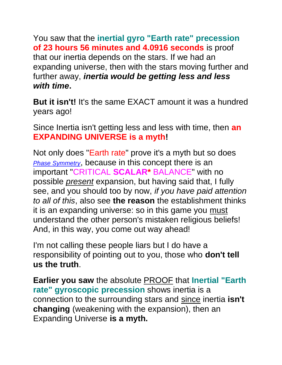You saw that the **inertial gyro "Earth rate" precession of 23 hours 56 minutes and 4.0916 seconds** is proof that our inertia depends on the stars. If we had an expanding universe, then with the stars moving further and further away, *inertia would be getting less and less with time***.**

**But it isn't!** It's the same EXACT amount it was a hundred years ago!

Since Inertia isn't getting less and less with time, then **an EXPANDING UNIVERSE is a myth!**

Not only does "Earth rate" prove it's a myth but so does *[Phase Symmetry](http://amperefitz.com/phase.symmetry.htm)*, because in this concept there is an important "CRITICAL **SCALAR\*** BALANCE" with no possible *present* expansion, but having said that, I fully see, and you should too by now, *if you have paid attention to all of this*, also see **the reason** the establishment thinks it is an expanding universe: so in this game you must understand the other person's mistaken religious beliefs! And, in this way, you come out way ahead!

I'm not calling these people liars but I do have a responsibility of pointing out to you, those who **don't tell us the truth**.

**Earlier you saw** the absolute PROOF that **Inertial "Earth rate" gyroscopic precession** shows inertia is a connection to the surrounding stars and since inertia **isn't changing** (weakening with the expansion), then an Expanding Universe **is a myth.**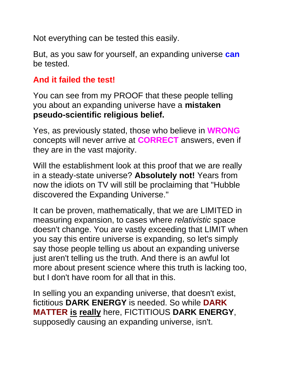Not everything can be tested this easily.

But, as you saw for yourself, an expanding universe **can** be tested.

## **And it failed the test!**

You can see from my PROOF that these people telling you about an expanding universe have a **mistaken pseudo-scientific religious belief.**

Yes, as previously stated, those who believe in **WRONG** concepts will never arrive at **CORRECT** answers, even if they are in the vast majority.

Will the establishment look at this proof that we are really in a steady-state universe? **Absolutely not!** Years from now the idiots on TV will still be proclaiming that "Hubble discovered the Expanding Universe."

It can be proven, mathematically, that we are LIMITED in measuring expansion, to cases where *relativistic* space doesn't change. You are vastly exceeding that LIMIT when you say this entire universe is expanding, so let's simply say those people telling us about an expanding universe just aren't telling us the truth. And there is an awful lot more about present science where this truth is lacking too, but I don't have room for all that in this.

In selling you an expanding universe, that doesn't exist, fictitious **DARK ENERGY** is needed. So while **DARK MATTER is really** here, FICTITIOUS **DARK ENERGY**, supposedly causing an expanding universe, isn't.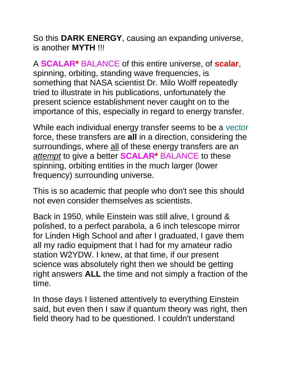So this **DARK ENERGY**, causing an expanding universe, is another **MYTH** !!!

A **SCALAR\*** BALANCE of this entire universe, of **scalar**, spinning, orbiting, standing wave frequencies, is something that NASA scientist Dr. Milo Wolff repeatedly tried to illustrate in his publications, unfortunately the present science establishment never caught on to the importance of this, especially in regard to energy transfer.

While each individual energy transfer seems to be a vector force, these transfers are **all** in a direction, considering the surroundings, where all of these energy transfers are an *attempt* to give a better **SCALAR\*** BALANCE to these spinning, orbiting entities in the much larger (lower frequency) surrounding universe.

This is so academic that people who don't see this should not even consider themselves as scientists.

Back in 1950, while Einstein was still alive, I ground & polished, to a perfect parabola, a 6 inch telescope mirror for Linden High School and after I graduated, I gave them all my radio equipment that I had for my amateur radio station W2YDW. I knew, at that time, if our present science was absolutely right then we should be getting right answers **ALL** the time and not simply a fraction of the time.

In those days I listened attentively to everything Einstein said, but even then I saw if quantum theory was right, then field theory had to be questioned. I couldn't understand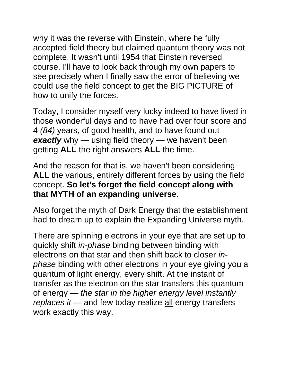why it was the reverse with Einstein, where he fully accepted field theory but claimed quantum theory was not complete. It wasn't until 1954 that Einstein reversed course. I'll have to look back through my own papers to see precisely when I finally saw the error of believing we could use the field concept to get the BIG PICTURE of how to unify the forces.

Today, I consider myself very lucky indeed to have lived in those wonderful days and to have had over four score and 4 *(84)* years, of good health, and to have found out **exactly** why — using field theory — we haven't been getting **ALL** the right answers **ALL** the time.

And the reason for that is, we haven't been considering **ALL** the various, entirely different forces by using the field concept. **So let's forget the field concept along with that MYTH of an expanding universe.**

Also forget the myth of Dark Energy that the establishment had to dream up to explain the Expanding Universe myth.

There are spinning electrons in your eye that are set up to quickly shift *in-phase* binding between binding with electrons on that star and then shift back to closer *inphase* binding with other electrons in your eye giving you a quantum of light energy, every shift. At the instant of transfer as the electron on the star transfers this quantum of energy — *the star in the higher energy level instantly replaces it* — and few today realize all energy transfers work exactly this way.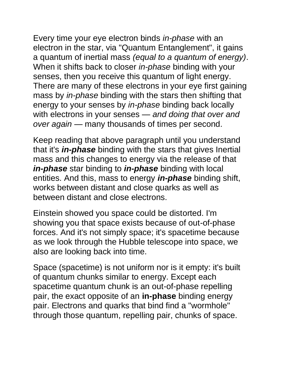Every time your eye electron binds *in-phase* with an electron in the star, via "Quantum Entanglement", it gains a quantum of inertial mass *(equal to a quantum of energy)*. When it shifts back to closer *in-phase* binding with your senses, then you receive this quantum of light energy. There are many of these electrons in your eye first gaining mass by *in-phase* binding with the stars then shifting that energy to your senses by *in-phase* binding back locally with electrons in your senses — *and doing that over and over again* — many thousands of times per second.

Keep reading that above paragraph until you understand that it's *in-phase* binding with the stars that gives Inertial mass and this changes to energy via the release of that *in-phase* star binding to *in-phase* binding with local entities. And this, mass to energy *in-phase* binding shift, works between distant and close quarks as well as between distant and close electrons.

Einstein showed you space could be distorted. I'm showing you that space exists because of out-of-phase forces. And it's not simply space; it's spacetime because as we look through the Hubble telescope into space, we also are looking back into time.

Space (spacetime) is not uniform nor is it empty: it's built of quantum chunks similar to energy. Except each spacetime quantum chunk is an out-of-phase repelling pair, the exact opposite of an **in-phase** binding energy pair. Electrons and quarks that bind find a "wormhole" through those quantum, repelling pair, chunks of space.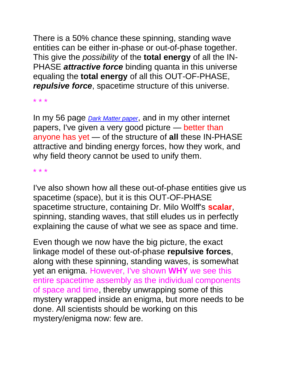There is a 50% chance these spinning, standing wave entities can be either in-phase or out-of-phase together. This give the *possibility* of the **total energy** of all the IN-PHASE *attractive force* binding quanta in this universe equaling the **total energy** of all this OUT-OF-PHASE, *repulsive force*, spacetime structure of this universe.

\* \* \*

In my 56 page *[Dark Matter paper](http://amperefitz.com/darkmtr.htm)*, and in my other internet papers, I've given a very good picture — better than anyone has yet — of the structure of **all** these IN-PHASE attractive and binding energy forces, how they work, and why field theory cannot be used to unify them.

\* \* \*

I've also shown how all these out-of-phase entities give us spacetime (space), but it is this OUT-OF-PHASE spacetime structure, containing Dr. Milo Wolff's **scalar**, spinning, standing waves, that still eludes us in perfectly explaining the cause of what we see as space and time.

Even though we now have the big picture, the exact linkage model of these out-of-phase **repulsive forces**, along with these spinning, standing waves, is somewhat yet an enigma. However, I've shown **WHY** we see this entire spacetime assembly as the individual components of space and time, thereby unwrapping some of this mystery wrapped inside an enigma, but more needs to be done. All scientists should be working on this mystery/enigma now: few are.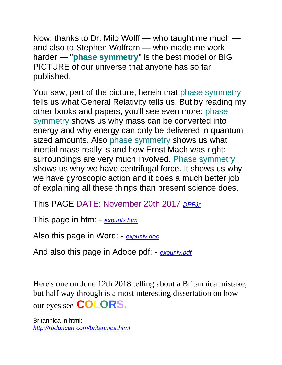Now, thanks to Dr. Milo Wolff — who taught me much and also to Stephen Wolfram — who made me work harder — "**phase symmetry**" is the best model or BIG PICTURE of our universe that anyone has so far published.

You saw, part of the picture, herein that phase symmetry tells us what General Relativity tells us. But by reading my other books and papers, you'll see even more: phase symmetry shows us why mass can be converted into energy and why energy can only be delivered in quantum sized amounts. Also phase symmetry shows us what inertial mass really is and how Ernst Mach was right: surroundings are very much involved. Phase symmetry shows us why we have centrifugal force. It shows us why we have gyroscopic action and it does a much better job of explaining all these things than present science does.

This PAGE DATE: November 20th 2017 *[DPFJr](http://rbduncan.com/DPFJr)*

This page in htm: - *[expuniv.htm](http://amperefitz.com/expuniv.htm)*

Also this page in Word: - *[expuniv.doc](http://amperefitz.com/expuniv.doc)*

And also this page in Adobe pdf: - *[expuniv.pdf](http://amperefitz.com/expuniv.pdf)*

Here's one on June 12th 2018 telling about a Britannica mistake, but half way through is a most interesting dissertation on how our eyes see **COLORS.**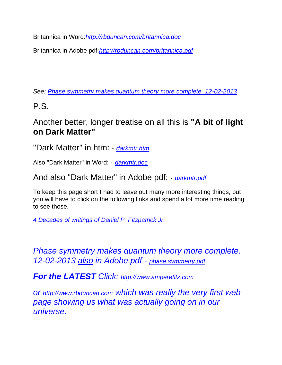Britannica in Word:*<http://rbduncan.com/britannica.doc>*

Britannica in Adobe pdf:*<http://rbduncan.com/britannica.pdf>*

*See: [Phase symmetry makes quantum theory more complete. 12-02-2013](http://amperefitz.com/phase.symmetry.htm)*

P.S.

#### Another better, longer treatise on all this is **"A bit of light on Dark Matter"**

"Dark Matter" in htm: - *[darkmtr.htm](http://amperefitz.com/darkmtr.htm)*

Also "Dark Matter" in Word: - *[darkmtr.doc](http://amperefitz.com/darkmtr.doc)*

And also "Dark Matter" in Adobe pdf: - *[darkmtr.pdf](http://amperefitz.com/darkmtr.pdf)*

To keep this page short I had to leave out many more interesting things, but you will have to click on the following links and spend a lot more time reading to see those.

*[4 Decades of writings of Daniel P. Fitzpatrick Jr.](http://www.rbduncan.com/4.decades.htm)* 

*Phase symmetry makes quantum theory more complete. 12-02-2013 also in Adobe.pdf - [phase.symmetry.pdf](http://amperefitz.com/phase.symmetry.pdf)*

*For the LATEST Click: [http://www.amperefitz.com](http://www.amperefitz.com/)*

*or [http://www.rbduncan.com](http://www.rbduncan.com/) which was really the very first web page showing us what was actually going on in our universe.*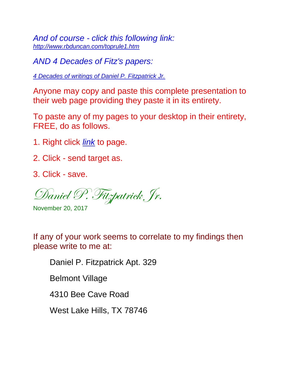*And of course - click this following link: <http://www.rbduncan.com/toprule1.htm>*

*AND 4 Decades of Fitz's papers:*

*[4 Decades of writings of Daniel P. Fitzpatrick Jr.](http://www.rbduncan.com/4.decades.htm)* 

Anyone may copy and paste this complete presentation to their web page providing they paste it in its entirety.

To paste any of my pages to your desktop in their entirety, FREE, do as follows.

- 1. Right click *link* to page.
- 2. Click send target as.
- 3. Click save.

Daniel P. Fitzpatrick Jr.

November 20, 2017

If any of your work seems to correlate to my findings then please write to me at:

Daniel P. Fitzpatrick Apt. 329

Belmont Village

4310 Bee Cave Road

West Lake Hills, TX 78746